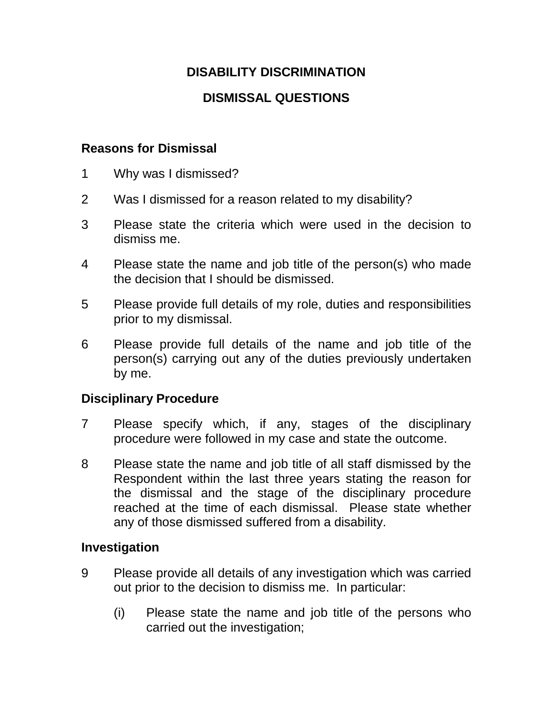## **DISABILITY DISCRIMINATION**

# **DISMISSAL QUESTIONS**

#### **Reasons for Dismissal**

- 1 Why was I dismissed?
- 2 Was I dismissed for a reason related to my disability?
- 3 Please state the criteria which were used in the decision to dismiss me.
- 4 Please state the name and job title of the person(s) who made the decision that I should be dismissed.
- 5 Please provide full details of my role, duties and responsibilities prior to my dismissal.
- 6 Please provide full details of the name and job title of the person(s) carrying out any of the duties previously undertaken by me.

## **Disciplinary Procedure**

- 7 Please specify which, if any, stages of the disciplinary procedure were followed in my case and state the outcome.
- 8 Please state the name and job title of all staff dismissed by the Respondent within the last three years stating the reason for the dismissal and the stage of the disciplinary procedure reached at the time of each dismissal. Please state whether any of those dismissed suffered from a disability.

## **Investigation**

- 9 Please provide all details of any investigation which was carried out prior to the decision to dismiss me. In particular:
	- (i) Please state the name and job title of the persons who carried out the investigation;